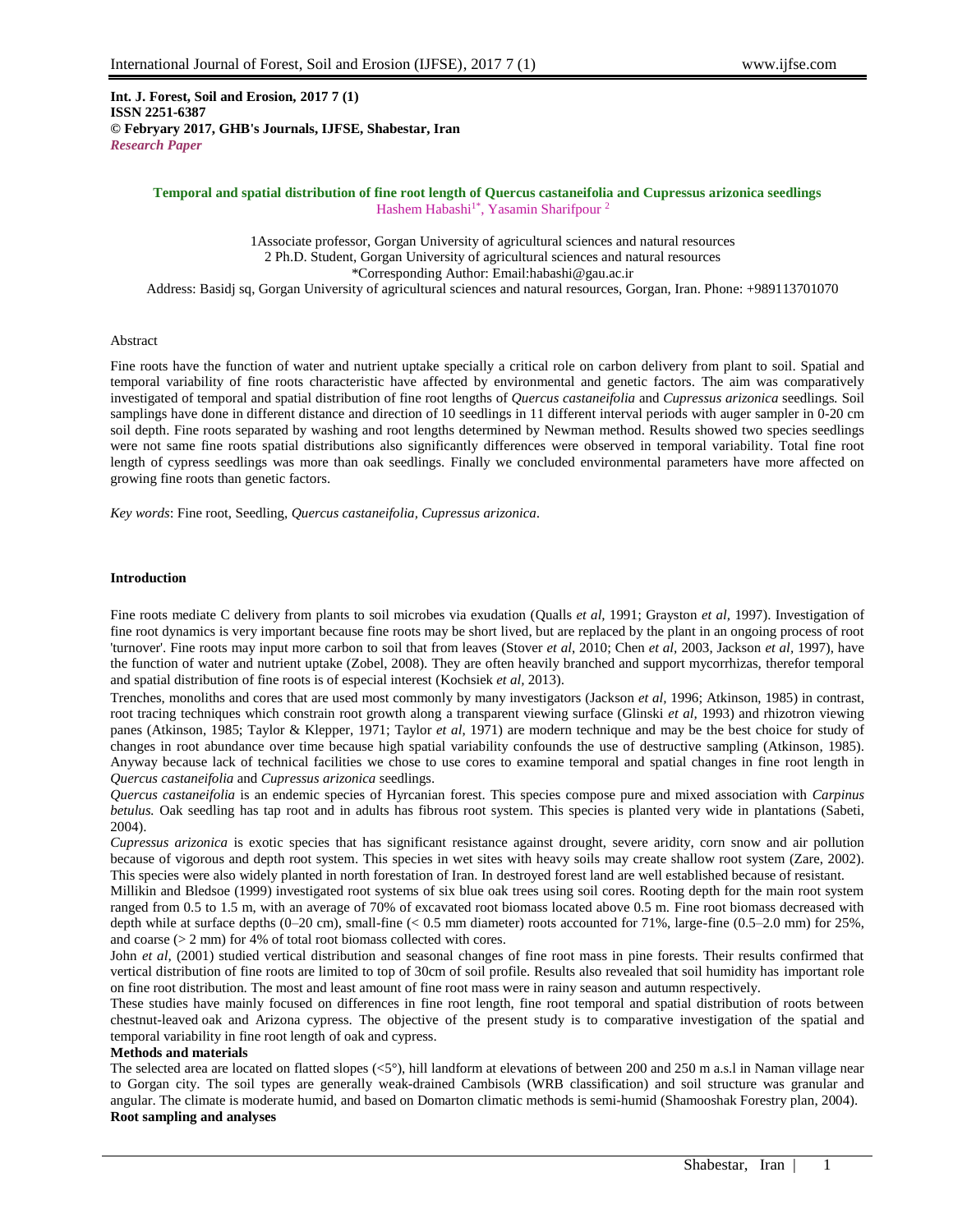**Int. J. Forest, Soil and Erosion, 2017 7 (1) ISSN 2251-6387 © Febryary 2017, GHB's Journals, IJFSE, Shabestar, Iran** *Research Paper*

## **Temporal and spatial distribution of fine root length of Quercus castaneifolia and Cupressus arizonica seedlings** Hashem Habashi<sup>1\*</sup>, Yasamin Sharifpour<sup>2</sup>

1Associate professor, Gorgan University of agricultural sciences and natural resources 2 Ph.D. Student, Gorgan University of agricultural sciences and natural resources \*Corresponding Author: Email:habashi@gau.ac.ir Address: Basidj sq, Gorgan University of agricultural sciences and natural resources, Gorgan, Iran. Phone: +989113701070

# Abstract

Fine roots have the function of water and nutrient uptake specially a critical role on carbon delivery from plant to soil. Spatial and temporal variability of fine roots characteristic have affected by environmental and genetic factors. The aim was comparatively investigated of temporal and spatial distribution of fine root lengths of *Quercus castaneifolia* and *Cupressus arizonica* seedlings*.* Soil samplings have done in different distance and direction of 10 seedlings in 11 different interval periods with auger sampler in 0-20 cm soil depth. Fine roots separated by washing and root lengths determined by Newman method. Results showed two species seedlings were not same fine roots spatial distributions also significantly differences were observed in temporal variability. Total fine root length of cypress seedlings was more than oak seedlings. Finally we concluded environmental parameters have more affected on growing fine roots than genetic factors.

*Key words*: Fine root, Seedling, *Quercus castaneifolia, Cupressus arizonica.*

## **Introduction**

Fine roots mediate C delivery from plants to soil microbes via exudation (Qualls *et al,* 1991; Grayston *et al,* 1997). Investigation of fine root dynamics is very important because fine roots may be short lived, but are replaced by the plant in an ongoing process of root 'turnover'. Fine roots may input more carbon to soil that from leaves (Stover *et al*, 2010; Chen *et al,* 2003, Jackson *et al,* 1997), have the function of water and nutrient uptake (Zobel, 2008). They are often heavily branched and support mycorrhizas, therefor temporal and spatial distribution of fine roots is of especial interest (Kochsiek *et al,* 2013).

Trenches, monoliths and cores that are used most commonly by many investigators (Jackson *et al,* 1996; Atkinson, 1985) in contrast, root tracing techniques which constrain root growth along a transparent viewing surface (Glinski *et al,* 1993) and rhizotron viewing panes (Atkinson, 1985; Taylor & Klepper, 1971; Taylor *et al*, 1971) are modern technique and may be the best choice for study of changes in root abundance over time because high spatial variability confounds the use of destructive sampling (Atkinson, 1985). Anyway because lack of technical facilities we chose to use cores to examine temporal and spatial changes in fine root length in *Quercus castaneifolia* and *Cupressus arizonica* seedlings.

*Quercus castaneifolia* is an endemic species of Hyrcanian forest. This species compose pure and mixed association with *Carpinus betulus.* Oak seedling has tap root and in adults has fibrous root system. This species is planted very wide in plantations (Sabeti, 2004).

*Cupressus arizonica* is exotic species that has significant resistance against drought, severe aridity, corn snow and air pollution because of vigorous and depth root system. This species in wet sites with heavy soils may create shallow root system (Zare, 2002). This species were also widely planted in north forestation of Iran. In destroyed forest land are well established because of resistant.

Millikin and Bledsoe (1999) investigated root systems of six blue oak trees using soil cores. Rooting depth for the main root system ranged from 0.5 to 1.5 m, with an average of 70% of excavated root biomass located above 0.5 m. Fine root biomass decreased with depth while at surface depths (0–20 cm), small-fine (< 0.5 mm diameter) roots accounted for 71%, large-fine (0.5–2.0 mm) for 25%, and coarse (> 2 mm) for 4% of total root biomass collected with cores.

John *et al,* (2001) studied vertical distribution and seasonal changes of fine root mass in pine forests. Their results confirmed that vertical distribution of fine roots are limited to top of 30cm of soil profile. Results also revealed that soil humidity has important role on fine root distribution. The most and least amount of fine root mass were in rainy season and autumn respectively.

These studies have mainly focused on differences in fine root length, fine root temporal and spatial distribution of roots between chestnut-leaved oak and Arizona cypress. The objective of the present study is to comparative investigation of the spatial and temporal variability in fine root length of oak and cypress.

# **Methods and materials**

The selected area are located on flatted slopes  $( $5^{\circ}$ ), hill landform at elevations of between 200 and 250 m a.s.l in Naman village near$ to Gorgan city. The soil types are generally weak-drained Cambisols (WRB classification) and soil structure was granular and angular. The climate is moderate humid, and based on Domarton climatic methods is semi-humid (Shamooshak Forestry plan, 2004). **Root sampling and analyses**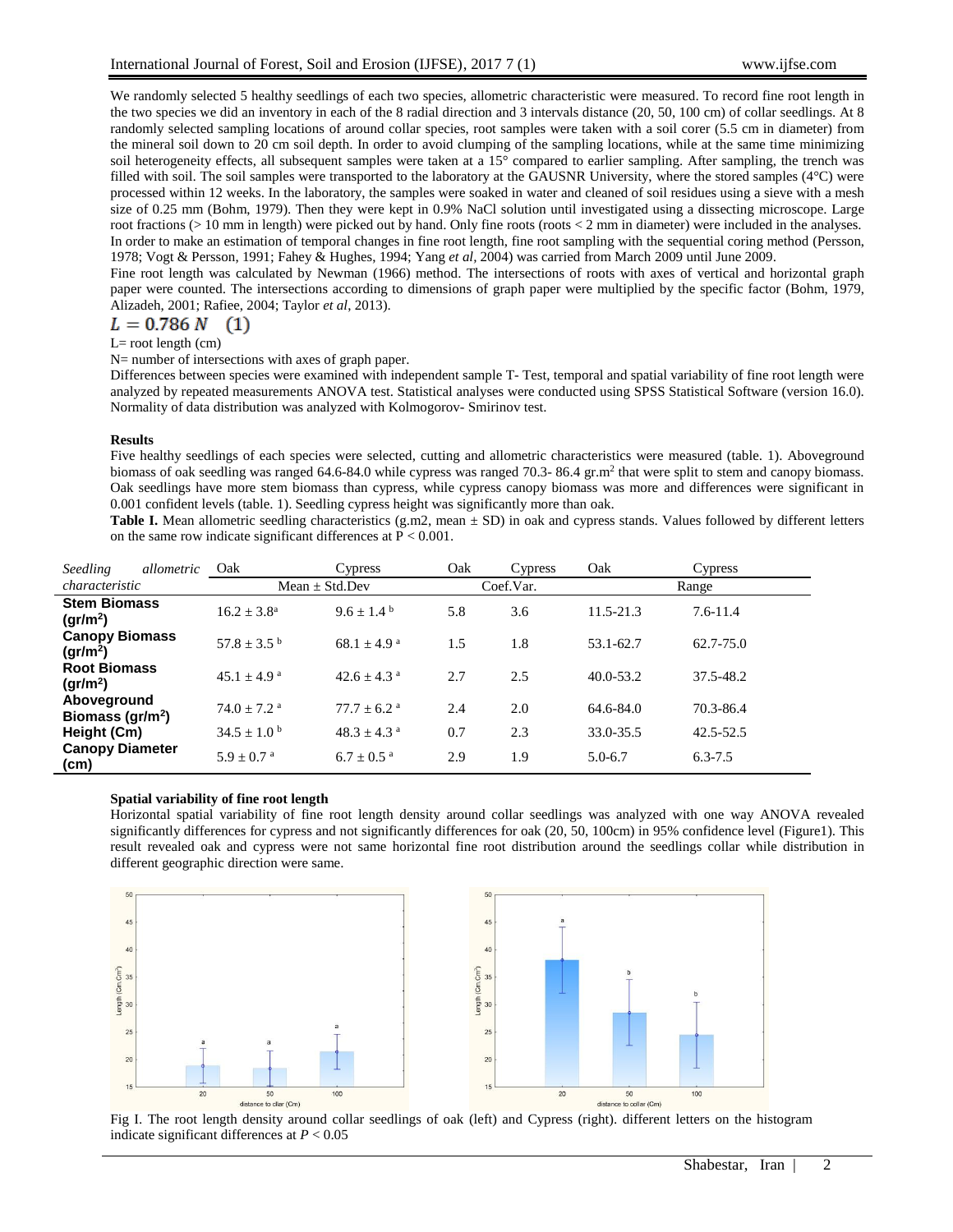We randomly selected 5 healthy seedlings of each two species, allometric characteristic were measured. To record fine root length in the two species we did an inventory in each of the 8 radial direction and 3 intervals distance (20, 50, 100 cm) of collar seedlings. At 8 randomly selected sampling locations of around collar species, root samples were taken with a soil corer (5.5 cm in diameter) from the mineral soil down to 20 cm soil depth. In order to avoid clumping of the sampling locations, while at the same time minimizing soil heterogeneity effects, all subsequent samples were taken at a 15° compared to earlier sampling. After sampling, the trench was filled with soil. The soil samples were transported to the laboratory at the GAUSNR University, where the stored samples (4°C) were processed within 12 weeks. In the laboratory, the samples were soaked in water and cleaned of soil residues using a sieve with a mesh size of 0.25 mm (Bohm, 1979). Then they were kept in 0.9% NaCl solution until investigated using a dissecting microscope. Large root fractions (> 10 mm in length) were picked out by hand. Only fine roots (roots < 2 mm in diameter) were included in the analyses. In order to make an estimation of temporal changes in fine root length, fine root sampling with the sequential coring method (Persson, 1978; Vogt & Persson, 1991; Fahey & Hughes, 1994; Yang *et al,* 2004) was carried from March 2009 until June 2009.

Fine root length was calculated by Newman (1966) method. The intersections of roots with axes of vertical and horizontal graph paper were counted. The intersections according to dimensions of graph paper were multiplied by the specific factor (Bohm, 1979, Alizadeh, 2001; Rafiee, 2004; Taylor *et al*, 2013).

$$
L=0.786\ N\quad(1)
$$

$$
L =
$$
root length (cm)

N= number of intersections with axes of graph paper.

Differences between species were examined with independent sample T- Test, temporal and spatial variability of fine root length were analyzed by repeated measurements ANOVA test. Statistical analyses were conducted using SPSS Statistical Software (version 16.0). Normality of data distribution was analyzed with Kolmogorov- Smirinov test.

### **Results**

Five healthy seedlings of each species were selected, cutting and allometric characteristics were measured (table. 1). Aboveground biomass of oak seedling was ranged 64.6-84.0 while cypress was ranged 70.3-86.4 gr.m<sup>2</sup> that were split to stem and canopy biomass. Oak seedlings have more stem biomass than cypress, while cypress canopy biomass was more and differences were significant in 0.001 confident levels (table. 1). Seedling cypress height was significantly more than oak.

Table I. Mean allometric seedling characteristics (g.m2, mean  $\pm$  SD) in oak and cypress stands. Values followed by different letters on the same row indicate significant differences at P < 0.001.

| Seedling                                                                               | allometric | Oak                         | Cypress                     | Oak       | Cypress | Oak           | Cypress       |
|----------------------------------------------------------------------------------------|------------|-----------------------------|-----------------------------|-----------|---------|---------------|---------------|
| characteristic                                                                         |            | Mean $\pm$ Std.Dev          |                             | Coef.Var. |         | Range         |               |
| <b>Stem Biomass</b><br>gr/m <sup>2</sup>                                               |            | $16.2 \pm 3.8^{\rm a}$      | $9.6 + 1.4^{\circ}$         | 5.8       | 3.6     | $11.5 - 21.3$ | $7.6 - 11.4$  |
| <b>Canopy Biomass</b><br>$(\text{qr/m}^2)$<br><b>Root Biomass</b><br>gr/m <sup>2</sup> |            | $57.8 \pm 3.5$ <sup>b</sup> | $68.1 \pm 4.9^{\text{a}}$   | 1.5       | 1.8     | 53.1-62.7     | 62.7-75.0     |
|                                                                                        |            | $45.1 + 4.9$ <sup>a</sup>   | $42.6 + 4.3$ <sup>a</sup>   | 2.7       | 2.5     | $40.0 - 53.2$ | 37.5-48.2     |
| Aboveground<br>Biomass ( $gr/m2$ )                                                     |            | $74.0 \pm 7.2$ <sup>a</sup> | $77.7 \pm 6.2$ <sup>a</sup> | 2.4       | 2.0     | 64.6-84.0     | 70.3-86.4     |
| Height (Cm)                                                                            |            | $34.5 \pm 1.0^{\circ}$      | $48.3 \pm 4.3$ <sup>a</sup> | 0.7       | 2.3     | 33.0-35.5     | $42.5 - 52.5$ |
| <b>Canopy Diameter</b><br>(cm)                                                         |            | $5.9 + 0.7$ <sup>a</sup>    | $6.7 \pm 0.5$ <sup>a</sup>  | 2.9       | 1.9     | $5.0 - 6.7$   | $6.3 - 7.5$   |

#### **Spatial variability of fine root length**

Horizontal spatial variability of fine root length density around collar seedlings was analyzed with one way ANOVA revealed significantly differences for cypress and not significantly differences for oak (20, 50, 100cm) in 95% confidence level (Figure1). This result revealed oak and cypress were not same horizontal fine root distribution around the seedlings collar while distribution in different geographic direction were same.



Fig I. The root length density around collar seedlings of oak (left) and Cypress (right). different letters on the histogram indicate significant differences at *P* < 0.05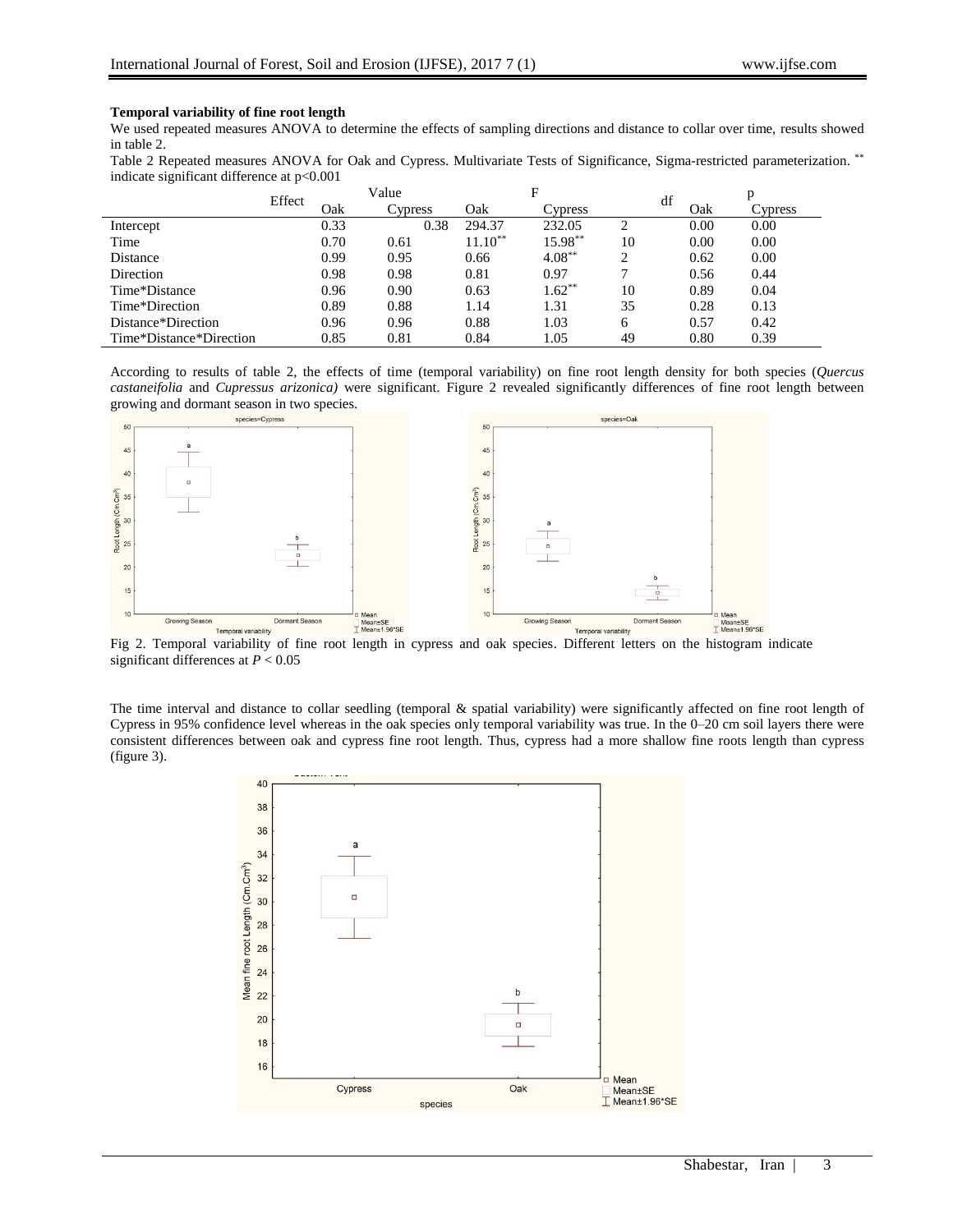# **Temporal variability of fine root length**

We used repeated measures ANOVA to determine the effects of sampling directions and distance to collar over time, results showed in table 2.

Table 2 Repeated measures ANOVA for Oak and Cypress. Multivariate Tests of Significance, Sigma-restricted parameterization.<sup>\*\*</sup> indicate significant difference at p<0.001

|                         | Effect | Value |         | F         |           |                | df |      |         |
|-------------------------|--------|-------|---------|-----------|-----------|----------------|----|------|---------|
|                         |        | Oak   | Cypress | Oak       | Cypress   |                |    | Oak  | Cypress |
| Intercept               |        | 0.33  | 0.38    | 294.37    | 232.05    | 2              |    | 0.00 | 0.00    |
| Time                    |        | 0.70  | 0.61    | $11.10**$ | 15.98**   | 10             |    | 0.00 | 0.00    |
| Distance                |        | 0.99  | 0.95    | 0.66      | $4.08***$ | $\overline{2}$ |    | 0.62 | 0.00    |
| Direction               |        | 0.98  | 0.98    | 0.81      | 0.97      | 7              |    | 0.56 | 0.44    |
| Time*Distance           |        | 0.96  | 0.90    | 0.63      | $1.62***$ | 10             |    | 0.89 | 0.04    |
| Time*Direction          |        | 0.89  | 0.88    | 1.14      | 1.31      | 35             |    | 0.28 | 0.13    |
| Distance*Direction      |        | 0.96  | 0.96    | 0.88      | 1.03      | 6              |    | 0.57 | 0.42    |
| Time*Distance*Direction |        | 0.85  | 0.81    | 0.84      | 1.05      | 49             |    | 0.80 | 0.39    |

According to results of table 2, the effects of time (temporal variability) on fine root length density for both species (*Quercus castaneifolia* and *Cupressus arizonica)* were significant. Figure 2 revealed significantly differences of fine root length between growing and dormant season in two species.



Fig 2. Temporal variability of fine root length in cypress and oak species. Different letters on the histogram indicate significant differences at *P* < 0.05

The time interval and distance to collar seedling (temporal & spatial variability) were significantly affected on fine root length of Cypress in 95% confidence level whereas in the oak species only temporal variability was true. In the 0–20 cm soil layers there were consistent differences between oak and cypress fine root length. Thus, cypress had a more shallow fine roots length than cypress (figure 3).

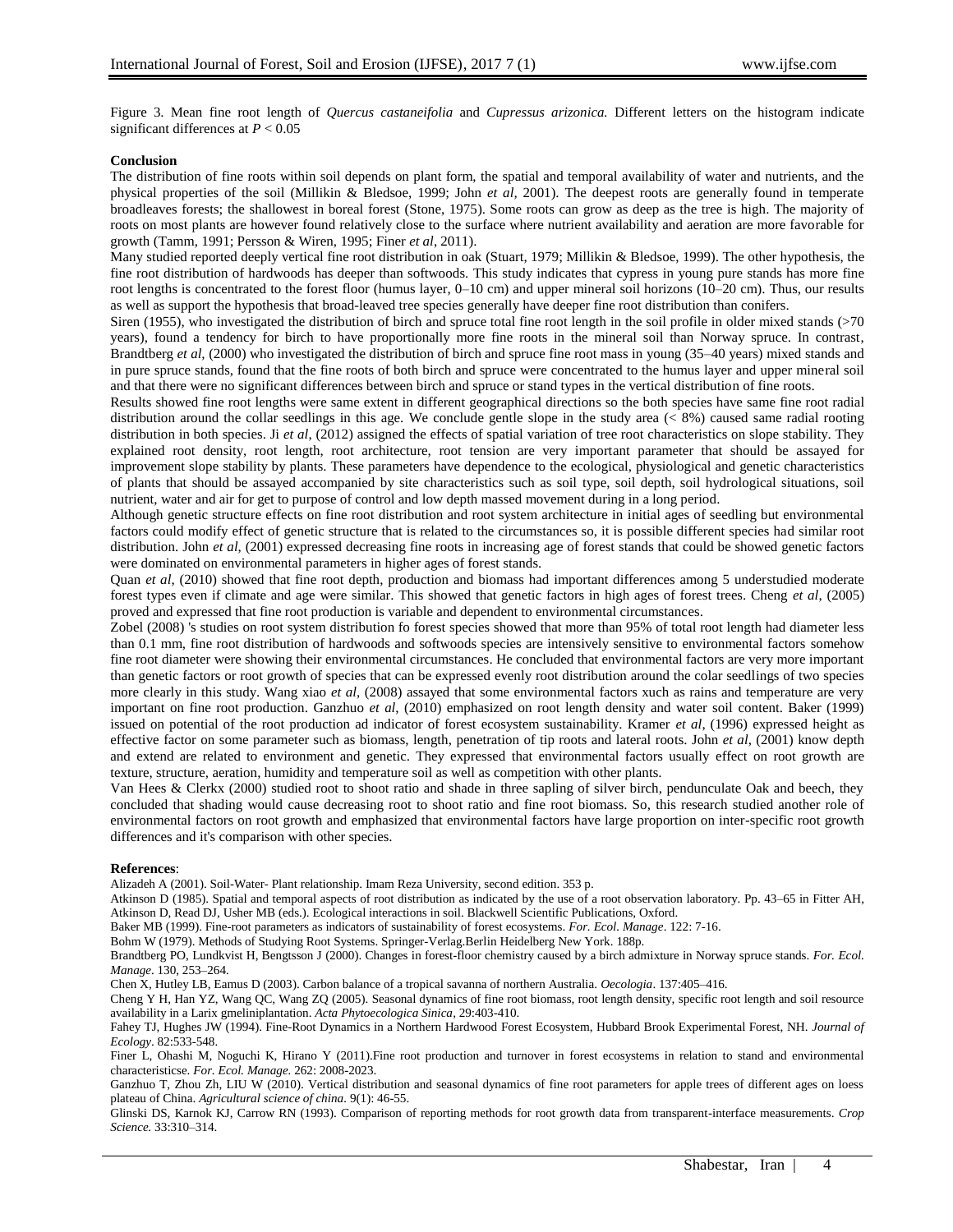Figure 3. Mean fine root length of *Quercus castaneifolia* and *Cupressus arizonica.* Different letters on the histogram indicate significant differences at *P* < 0.05

## **Conclusion**

The distribution of fine roots within soil depends on plant form, the spatial and temporal availability of water and nutrients, and the physical properties of the soil (Millikin & Bledsoe, 1999; John *et al,* 2001). The deepest roots are generally found in temperate broadleaves forests; the shallowest in boreal forest (Stone, 1975). Some roots can grow as deep as the tree is high. The majority of roots on most plants are however found relatively close to the surface where nutrient availability and aeration are more favorable for growth (Tamm, 1991; Persson & Wiren, 1995; Finer *et al*, 2011).

Many studied reported deeply vertical fine root distribution in oak (Stuart, 1979; Millikin & Bledsoe, 1999). The other hypothesis, the fine root distribution of hardwoods has deeper than softwoods. This study indicates that cypress in young pure stands has more fine root lengths is concentrated to the forest floor (humus layer, 0–10 cm) and upper mineral soil horizons (10–20 cm). Thus, our results as well as support the hypothesis that broad-leaved tree species generally have deeper fine root distribution than conifers.

Siren (1955), who investigated the distribution of birch and spruce total fine root length in the soil profile in older mixed stands (>70 years), found a tendency for birch to have proportionally more fine roots in the mineral soil than Norway spruce. In contrast, Brandtberg *et al,* (2000) who investigated the distribution of birch and spruce fine root mass in young (35–40 years) mixed stands and in pure spruce stands, found that the fine roots of both birch and spruce were concentrated to the humus layer and upper mineral soil and that there were no significant differences between birch and spruce or stand types in the vertical distribution of fine roots.

Results showed fine root lengths were same extent in different geographical directions so the both species have same fine root radial distribution around the collar seedlings in this age. We conclude gentle slope in the study area  $(< 8\%)$  caused same radial rooting distribution in both species. Ji *et al*, (2012) assigned the effects of spatial variation of tree root characteristics on slope stability. They explained root density, root length, root architecture, root tension are very important parameter that should be assayed for improvement slope stability by plants. These parameters have dependence to the ecological, physiological and genetic characteristics of plants that should be assayed accompanied by site characteristics such as soil type, soil depth, soil hydrological situations, soil nutrient, water and air for get to purpose of control and low depth massed movement during in a long period.

Although genetic structure effects on fine root distribution and root system architecture in initial ages of seedling but environmental factors could modify effect of genetic structure that is related to the circumstances so, it is possible different species had similar root distribution. John *et al*, (2001) expressed decreasing fine roots in increasing age of forest stands that could be showed genetic factors were dominated on environmental parameters in higher ages of forest stands.

Quan *et al*, (2010) showed that fine root depth, production and biomass had important differences among 5 understudied moderate forest types even if climate and age were similar. This showed that genetic factors in high ages of forest trees. Cheng *et al*, (2005) proved and expressed that fine root production is variable and dependent to environmental circumstances.

Zobel (2008) 's studies on root system distribution fo forest species showed that more than 95% of total root length had diameter less than 0.1 mm, fine root distribution of hardwoods and softwoods species are intensively sensitive to environmental factors somehow fine root diameter were showing their environmental circumstances. He concluded that environmental factors are very more important than genetic factors or root growth of species that can be expressed evenly root distribution around the colar seedlings of two species more clearly in this study. Wang xiao *et al*, (2008) assayed that some environmental factors xuch as rains and temperature are very important on fine root production. Ganzhuo *et al*, (2010) emphasized on root length density and water soil content. Baker (1999) issued on potential of the root production ad indicator of forest ecosystem sustainability. Kramer *et al*, (1996) expressed height as effective factor on some parameter such as biomass, length, penetration of tip roots and lateral roots. John *et al*, (2001) know depth and extend are related to environment and genetic. They expressed that environmental factors usually effect on root growth are texture, structure, aeration, humidity and temperature soil as well as competition with other plants.

Van Hees & Clerkx (2000) studied root to shoot ratio and shade in three sapling of silver birch, pendunculate Oak and beech, they concluded that shading would cause decreasing root to shoot ratio and fine root biomass. So, this research studied another role of environmental factors on root growth and emphasized that environmental factors have large proportion on inter-specific root growth differences and it's comparison with other species.

#### **References**:

Alizadeh A (2001). Soil-Water- Plant relationship. Imam Reza University, second edition. 353 p.

Atkinson D (1985). Spatial and temporal aspects of root distribution as indicated by the use of a root observation laboratory. Pp. 43–65 in Fitter AH, Atkinson D, Read DJ, Usher MB (eds.). Ecological interactions in soil. Blackwell Scientific Publications, Oxford.

Baker MB (1999). Fine-root parameters as indicators of sustainability of forest ecosystems. *For. Ecol. Manage*. 122: 7-16.

Bohm W (1979). Methods of Studying Root Systems. Springer-Verlag.Berlin Heidelberg New York. 188p.

Brandtberg PO, Lundkvist H, Bengtsson J (2000). Changes in forest-floor chemistry caused by a birch admixture in Norway spruce stands. *For. Ecol. Manage*. 130, 253–264.

Chen X, Hutley LB, Eamus D (2003). Carbon balance of a tropical savanna of northern Australia. *Oecologia*. 137:405–416.

Cheng Y H, Han YZ, Wang QC, Wang ZQ (2005). Seasonal dynamics of fine root biomass, root length density, specific root length and soil resource availability in a Larix gmeliniplantation. *Acta Phytoecologica Sinica*, 29:403-410.

Fahey TJ, Hughes JW (1994). Fine-Root Dynamics in a Northern Hardwood Forest Ecosystem, Hubbard Brook Experimental Forest, NH. *Journal of Ecology*. 82:533-548.

Finer L, Ohashi M, Noguchi K, Hirano Y (2011).Fine root production and turnover in forest ecosystems in relation to stand and environmental characteristicse. *For. Ecol. Manage.* 262: 2008-2023.

Ganzhuo T, Zhou Zh, LIU W (2010). Vertical distribution and seasonal dynamics of fine root parameters for apple trees of different ages on loess plateau of China. *Agricultural science of china.* 9(1): 46-55.

Glinski DS, Karnok KJ, Carrow RN (1993). Comparison of reporting methods for root growth data from transparent-interface measurements. *Crop Science.* 33:310–314.